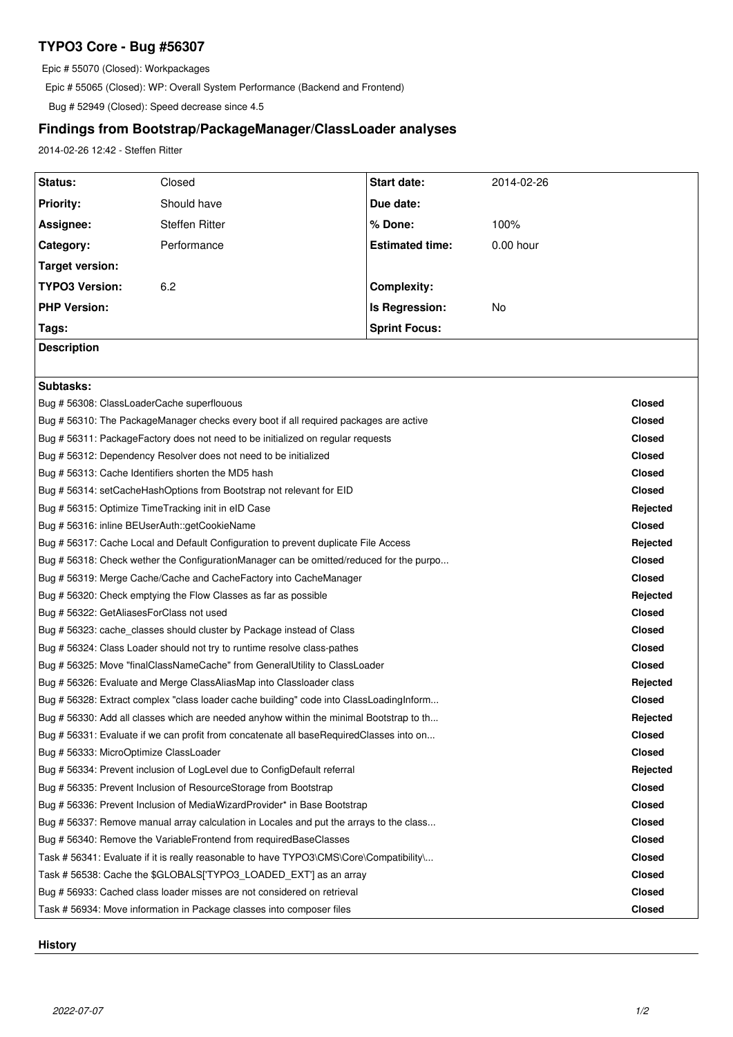## **TYPO3 Core - Bug #56307**

Epic # 55070 (Closed): Workpackages

Epic # 55065 (Closed): WP: Overall System Performance (Backend and Frontend)

Bug # 52949 (Closed): Speed decrease since 4.5

# **Findings from Bootstrap/PackageManager/ClassLoader analyses**

2014-02-26 12:42 - Steffen Ritter

| Status:                                                                                 | Closed                | Start date:            | 2014-02-26  |               |
|-----------------------------------------------------------------------------------------|-----------------------|------------------------|-------------|---------------|
| <b>Priority:</b>                                                                        | Should have           | Due date:              |             |               |
| Assignee:                                                                               | <b>Steffen Ritter</b> | % Done:                | 100%        |               |
| Category:                                                                               | Performance           | <b>Estimated time:</b> | $0.00$ hour |               |
| <b>Target version:</b>                                                                  |                       |                        |             |               |
| <b>TYPO3 Version:</b>                                                                   | 6.2                   | <b>Complexity:</b>     |             |               |
| <b>PHP Version:</b>                                                                     |                       | Is Regression:         | No          |               |
| Tags:                                                                                   |                       | <b>Sprint Focus:</b>   |             |               |
| <b>Description</b>                                                                      |                       |                        |             |               |
|                                                                                         |                       |                        |             |               |
| Subtasks:                                                                               |                       |                        |             |               |
| Bug # 56308: ClassLoaderCache superflouous                                              |                       |                        |             | <b>Closed</b> |
| Bug #56310: The PackageManager checks every boot if all required packages are active    |                       |                        |             | <b>Closed</b> |
| Bug # 56311: PackageFactory does not need to be initialized on regular requests         |                       |                        |             | <b>Closed</b> |
| Bug # 56312: Dependency Resolver does not need to be initialized                        |                       |                        |             | <b>Closed</b> |
| Bug # 56313: Cache Identifiers shorten the MD5 hash                                     |                       |                        |             | <b>Closed</b> |
| Bug # 56314: setCacheHashOptions from Bootstrap not relevant for EID                    |                       |                        |             | <b>Closed</b> |
| Bug # 56315: Optimize TimeTracking init in eID Case                                     |                       |                        |             | Rejected      |
| Bug # 56316: inline BEUserAuth::getCookieName                                           |                       |                        |             | <b>Closed</b> |
| Bug # 56317: Cache Local and Default Configuration to prevent duplicate File Access     |                       |                        |             | Rejected      |
| Bug # 56318: Check wether the ConfigurationManager can be omitted/reduced for the purpo |                       |                        |             | <b>Closed</b> |
| Bug # 56319: Merge Cache/Cache and CacheFactory into CacheManager                       |                       |                        |             | <b>Closed</b> |
| Bug # 56320: Check emptying the Flow Classes as far as possible                         |                       |                        |             | Rejected      |
| Bug # 56322: GetAliasesForClass not used                                                |                       |                        |             | <b>Closed</b> |
| Bug # 56323: cache_classes should cluster by Package instead of Class                   |                       |                        |             | <b>Closed</b> |
| Bug # 56324: Class Loader should not try to runtime resolve class-pathes                |                       |                        |             | <b>Closed</b> |
| Bug # 56325: Move "finalClassNameCache" from GeneralUtility to ClassLoader              |                       |                        |             | <b>Closed</b> |
| Bug # 56326: Evaluate and Merge ClassAliasMap into Classloader class                    |                       |                        |             | Rejected      |
| Bug # 56328: Extract complex "class loader cache building" code into ClassLoadingInform |                       |                        |             | <b>Closed</b> |
| Bug # 56330: Add all classes which are needed anyhow within the minimal Bootstrap to th |                       |                        |             | Rejected      |
| Bug # 56331: Evaluate if we can profit from concatenate all baseRequiredClasses into on |                       |                        |             | <b>Closed</b> |
| Bug # 56333: MicroOptimize ClassLoader                                                  |                       |                        |             | <b>Closed</b> |
| Bug # 56334: Prevent inclusion of LogLevel due to ConfigDefault referral                |                       |                        |             | Rejected      |
| Bug # 56335: Prevent Inclusion of ResourceStorage from Bootstrap                        |                       |                        |             | <b>Closed</b> |
| Bug # 56336: Prevent Inclusion of MediaWizardProvider* in Base Bootstrap                |                       |                        |             | <b>Closed</b> |
| Bug # 56337: Remove manual array calculation in Locales and put the arrays to the class |                       |                        |             | <b>Closed</b> |
| Bug #56340: Remove the VariableFrontend from requiredBaseClasses                        |                       |                        |             | <b>Closed</b> |
| Task # 56341: Evaluate if it is really reasonable to have TYPO3\CMS\Core\Compatibility\ |                       |                        |             | <b>Closed</b> |
| Task # 56538: Cache the \$GLOBALS[TYPO3_LOADED_EXT'] as an array                        |                       |                        |             | <b>Closed</b> |
| Bug # 56933: Cached class loader misses are not considered on retrieval                 |                       |                        |             | <b>Closed</b> |
| Task # 56934: Move information in Package classes into composer files                   |                       |                        |             | <b>Closed</b> |

## **History**